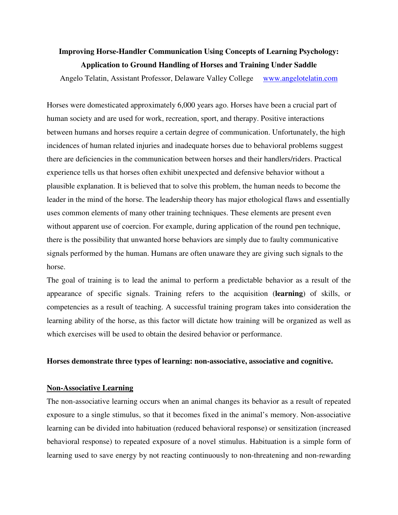# **Improving Horse-Handler Communication Using Concepts of Learning Psychology: Application to Ground Handling of Horses and Training Under Saddle**

Angelo Telatin, Assistant Professor, Delaware Valley College www.angelotelatin.com

Horses were domesticated approximately 6,000 years ago. Horses have been a crucial part of human society and are used for work, recreation, sport, and therapy. Positive interactions between humans and horses require a certain degree of communication. Unfortunately, the high incidences of human related injuries and inadequate horses due to behavioral problems suggest there are deficiencies in the communication between horses and their handlers/riders. Practical experience tells us that horses often exhibit unexpected and defensive behavior without a plausible explanation. It is believed that to solve this problem, the human needs to become the leader in the mind of the horse. The leadership theory has major ethological flaws and essentially uses common elements of many other training techniques. These elements are present even without apparent use of coercion. For example, during application of the round pen technique, there is the possibility that unwanted horse behaviors are simply due to faulty communicative signals performed by the human. Humans are often unaware they are giving such signals to the horse.

The goal of training is to lead the animal to perform a predictable behavior as a result of the appearance of specific signals. Training refers to the acquisition (**learning**) of skills, or competencies as a result of teaching. A successful training program takes into consideration the learning ability of the horse, as this factor will dictate how training will be organized as well as which exercises will be used to obtain the desired behavior or performance.

## **Horses demonstrate three types of learning: non-associative, associative and cognitive.**

### **Non-Associative Learning**

The non-associative learning occurs when an animal changes its behavior as a result of repeated exposure to a single stimulus, so that it becomes fixed in the animal's memory. Non-associative learning can be divided into habituation (reduced behavioral response) or sensitization (increased behavioral response) to repeated exposure of a novel stimulus. Habituation is a simple form of learning used to save energy by not reacting continuously to non-threatening and non-rewarding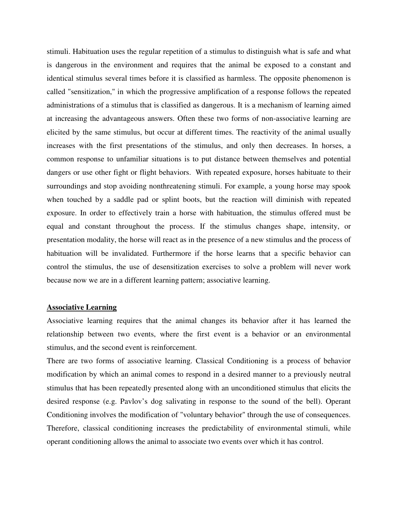stimuli. Habituation uses the regular repetition of a stimulus to distinguish what is safe and what is dangerous in the environment and requires that the animal be exposed to a constant and identical stimulus several times before it is classified as harmless. The opposite phenomenon is called "sensitization," in which the progressive amplification of a response follows the repeated administrations of a stimulus that is classified as dangerous. It is a mechanism of learning aimed at increasing the advantageous answers. Often these two forms of non-associative learning are elicited by the same stimulus, but occur at different times. The reactivity of the animal usually increases with the first presentations of the stimulus, and only then decreases. In horses, a common response to unfamiliar situations is to put distance between themselves and potential dangers or use other fight or flight behaviors. With repeated exposure, horses habituate to their surroundings and stop avoiding nonthreatening stimuli. For example, a young horse may spook when touched by a saddle pad or splint boots, but the reaction will diminish with repeated exposure. In order to effectively train a horse with habituation, the stimulus offered must be equal and constant throughout the process. If the stimulus changes shape, intensity, or presentation modality, the horse will react as in the presence of a new stimulus and the process of habituation will be invalidated. Furthermore if the horse learns that a specific behavior can control the stimulus, the use of desensitization exercises to solve a problem will never work because now we are in a different learning pattern; associative learning.

### **Associative Learning**

Associative learning requires that the animal changes its behavior after it has learned the relationship between two events, where the first event is a behavior or an environmental stimulus, and the second event is reinforcement.

There are two forms of associative learning. Classical Conditioning is a process of behavior modification by which an animal comes to respond in a desired manner to a previously neutral stimulus that has been repeatedly presented along with an unconditioned stimulus that elicits the desired response (e.g. Pavlov's dog salivating in response to the sound of the bell). Operant Conditioning involves the modification of "voluntary behavior" through the use of consequences. Therefore, classical conditioning increases the predictability of environmental stimuli, while operant conditioning allows the animal to associate two events over which it has control.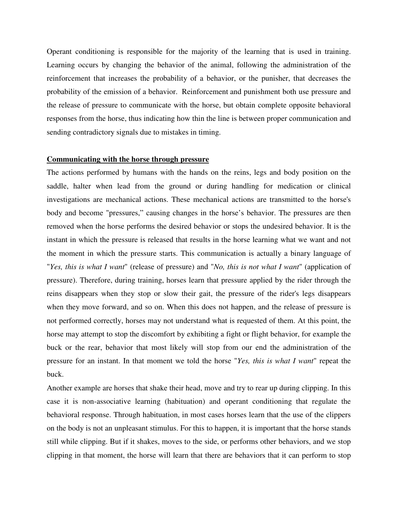Operant conditioning is responsible for the majority of the learning that is used in training. Learning occurs by changing the behavior of the animal, following the administration of the reinforcement that increases the probability of a behavior, or the punisher, that decreases the probability of the emission of a behavior. Reinforcement and punishment both use pressure and the release of pressure to communicate with the horse, but obtain complete opposite behavioral responses from the horse, thus indicating how thin the line is between proper communication and sending contradictory signals due to mistakes in timing.

#### **Communicating with the horse through pressure**

The actions performed by humans with the hands on the reins, legs and body position on the saddle, halter when lead from the ground or during handling for medication or clinical investigations are mechanical actions. These mechanical actions are transmitted to the horse's body and become "pressures," causing changes in the horse's behavior. The pressures are then removed when the horse performs the desired behavior or stops the undesired behavior. It is the instant in which the pressure is released that results in the horse learning what we want and not the moment in which the pressure starts. This communication is actually a binary language of "*Yes, this is what I want*" (release of pressure) and "*No, this is not what I want*" (application of pressure). Therefore, during training, horses learn that pressure applied by the rider through the reins disappears when they stop or slow their gait, the pressure of the rider's legs disappears when they move forward, and so on. When this does not happen, and the release of pressure is not performed correctly, horses may not understand what is requested of them. At this point, the horse may attempt to stop the discomfort by exhibiting a fight or flight behavior, for example the buck or the rear, behavior that most likely will stop from our end the administration of the pressure for an instant. In that moment we told the horse "*Yes, this is what I want*" repeat the buck.

Another example are horses that shake their head, move and try to rear up during clipping. In this case it is non-associative learning (habituation) and operant conditioning that regulate the behavioral response. Through habituation, in most cases horses learn that the use of the clippers on the body is not an unpleasant stimulus. For this to happen, it is important that the horse stands still while clipping. But if it shakes, moves to the side, or performs other behaviors, and we stop clipping in that moment, the horse will learn that there are behaviors that it can perform to stop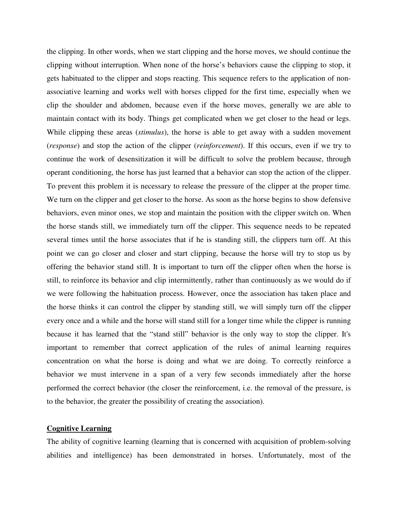the clipping. In other words, when we start clipping and the horse moves, we should continue the clipping without interruption. When none of the horse's behaviors cause the clipping to stop, it gets habituated to the clipper and stops reacting. This sequence refers to the application of nonassociative learning and works well with horses clipped for the first time, especially when we clip the shoulder and abdomen, because even if the horse moves, generally we are able to maintain contact with its body. Things get complicated when we get closer to the head or legs. While clipping these areas (*stimulus*), the horse is able to get away with a sudden movement (*response*) and stop the action of the clipper (*reinforcement*). If this occurs, even if we try to continue the work of desensitization it will be difficult to solve the problem because, through operant conditioning, the horse has just learned that a behavior can stop the action of the clipper. To prevent this problem it is necessary to release the pressure of the clipper at the proper time. We turn on the clipper and get closer to the horse. As soon as the horse begins to show defensive behaviors, even minor ones, we stop and maintain the position with the clipper switch on. When the horse stands still, we immediately turn off the clipper. This sequence needs to be repeated several times until the horse associates that if he is standing still, the clippers turn off. At this point we can go closer and closer and start clipping, because the horse will try to stop us by offering the behavior stand still. It is important to turn off the clipper often when the horse is still, to reinforce its behavior and clip intermittently, rather than continuously as we would do if we were following the habituation process. However, once the association has taken place and the horse thinks it can control the clipper by standing still, we will simply turn off the clipper every once and a while and the horse will stand still for a longer time while the clipper is running because it has learned that the "stand still" behavior is the only way to stop the clipper. It's important to remember that correct application of the rules of animal learning requires concentration on what the horse is doing and what we are doing. To correctly reinforce a behavior we must intervene in a span of a very few seconds immediately after the horse performed the correct behavior (the closer the reinforcement, i.e. the removal of the pressure, is to the behavior, the greater the possibility of creating the association).

### **Cognitive Learning**

The ability of cognitive learning (learning that is concerned with acquisition of problem-solving abilities and intelligence) has been demonstrated in horses. Unfortunately, most of the